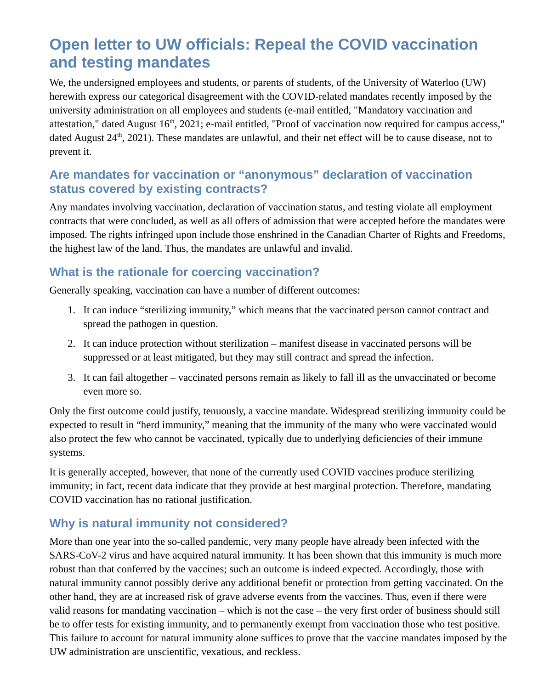# **Open letter to UW officials: Repeal the COVID vaccination and testing mandates**

We, the undersigned employees and students, or parents of students, of the University of Waterloo (UW) herewith express our categorical disagreement with the COVID-related mandates recently imposed by the university administration on all employees and students (e-mail entitled, "Mandatory vaccination and attestation," dated August 16<sup>th</sup>, 2021; e-mail entitled, "Proof of vaccination now required for campus access," dated August  $24<sup>th</sup>$ , 2021). These mandates are unlawful, and their net effect will be to cause disease, not to prevent it.

#### **Are mandates for vaccination or "anonymous" declaration of vaccination status covered by existing contracts?**

Any mandates involving vaccination, declaration of vaccination status, and testing violate all employment contracts that were concluded, as well as all offers of admission that were accepted before the mandates were imposed. The rights infringed upon include those enshrined in the Canadian Charter of Rights and Freedoms, the highest law of the land. Thus, the mandates are unlawful and invalid.

### **What is the rationale for coercing vaccination?**

Generally speaking, vaccination can have a number of different outcomes:

- 1. It can induce "sterilizing immunity," which means that the vaccinated person cannot contract and spread the pathogen in question.
- 2. It can induce protection without sterilization manifest disease in vaccinated persons will be suppressed or at least mitigated, but they may still contract and spread the infection.
- 3. It can fail altogether vaccinated persons remain as likely to fall ill as the unvaccinated or become even more so.

Only the first outcome could justify, tenuously, a vaccine mandate. Widespread sterilizing immunity could be expected to result in "herd immunity," meaning that the immunity of the many who were vaccinated would also protect the few who cannot be vaccinated, typically due to underlying deficiencies of their immune systems.

It is generally accepted, however, that none of the currently used COVID vaccines produce sterilizing immunity; in fact, recent data indicate that they provide at best marginal protection. Therefore, mandating COVID vaccination has no rational justification.

# **Why is natural immunity not considered?**

More than one year into the so-called pandemic, very many people have already been infected with the SARS-CoV-2 virus and have acquired natural immunity. It has been shown that this immunity is much more robust than that conferred by the vaccines; such an outcome is indeed expected. Accordingly, those with natural immunity cannot possibly derive any additional benefit or protection from getting vaccinated. On the other hand, they are at increased risk of grave adverse events from the vaccines. Thus, even if there were valid reasons for mandating vaccination – which is not the case – the very first order of business should still be to offer tests for existing immunity, and to permanently exempt from vaccination those who test positive. This failure to account for natural immunity alone suffices to prove that the vaccine mandates imposed by the UW administration are unscientific, vexatious, and reckless.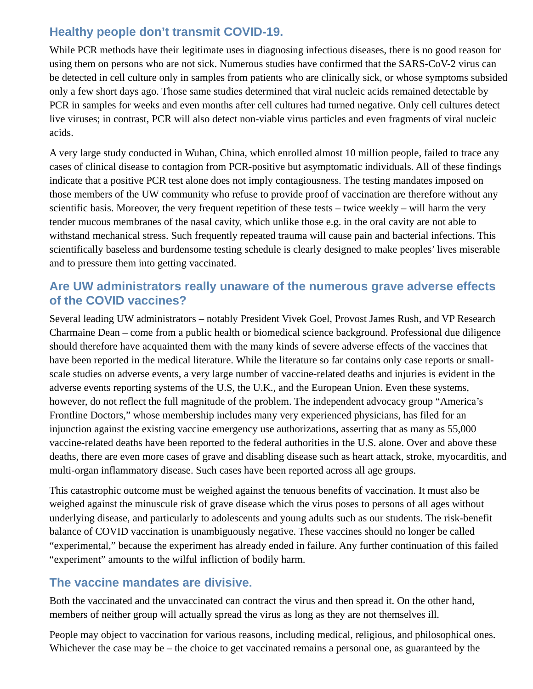# **Healthy people don't transmit COVID-19.**

While PCR methods have their legitimate uses in diagnosing infectious diseases, there is no good reason for using them on persons who are not sick. Numerous studies have confirmed that the SARS-CoV-2 virus can be detected in cell culture only in samples from patients who are clinically sick, or whose symptoms subsided only a few short days ago. Those same studies determined that viral nucleic acids remained detectable by PCR in samples for weeks and even months after cell cultures had turned negative. Only cell cultures detect live viruses; in contrast, PCR will also detect non-viable virus particles and even fragments of viral nucleic acids.

A very large study conducted in Wuhan, China, which enrolled almost 10 million people, failed to trace any cases of clinical disease to contagion from PCR-positive but asymptomatic individuals. All of these findings indicate that a positive PCR test alone does not imply contagiousness. The testing mandates imposed on those members of the UW community who refuse to provide proof of vaccination are therefore without any scientific basis. Moreover, the very frequent repetition of these tests – twice weekly – will harm the very tender mucous membranes of the nasal cavity, which unlike those e.g. in the oral cavity are not able to withstand mechanical stress. Such frequently repeated trauma will cause pain and bacterial infections. This scientifically baseless and burdensome testing schedule is clearly designed to make peoples' lives miserable and to pressure them into getting vaccinated.

#### **Are UW administrators really unaware of the numerous grave adverse effects of the COVID vaccines?**

Several leading UW administrators – notably President Vivek Goel, Provost James Rush, and VP Research Charmaine Dean – come from a public health or biomedical science background. Professional due diligence should therefore have acquainted them with the many kinds of severe adverse effects of the vaccines that have been reported in the medical literature. While the literature so far contains only case reports or smallscale studies on adverse events, a very large number of vaccine-related deaths and injuries is evident in the adverse events reporting systems of the U.S, the U.K., and the European Union. Even these systems, however, do not reflect the full magnitude of the problem. The independent advocacy group "America's Frontline Doctors," whose membership includes many very experienced physicians, has filed for an injunction against the existing vaccine emergency use authorizations, asserting that as many as 55,000 vaccine-related deaths have been reported to the federal authorities in the U.S. alone. Over and above these deaths, there are even more cases of grave and disabling disease such as heart attack, stroke, myocarditis, and multi-organ inflammatory disease. Such cases have been reported across all age groups.

This catastrophic outcome must be weighed against the tenuous benefits of vaccination. It must also be weighed against the minuscule risk of grave disease which the virus poses to persons of all ages without underlying disease, and particularly to adolescents and young adults such as our students. The risk-benefit balance of COVID vaccination is unambiguously negative. These vaccines should no longer be called "experimental," because the experiment has already ended in failure. Any further continuation of this failed "experiment" amounts to the wilful infliction of bodily harm.

#### **The vaccine mandates are divisive.**

Both the vaccinated and the unvaccinated can contract the virus and then spread it. On the other hand, members of neither group will actually spread the virus as long as they are not themselves ill.

People may object to vaccination for various reasons, including medical, religious, and philosophical ones. Whichever the case may be – the choice to get vaccinated remains a personal one, as guaranteed by the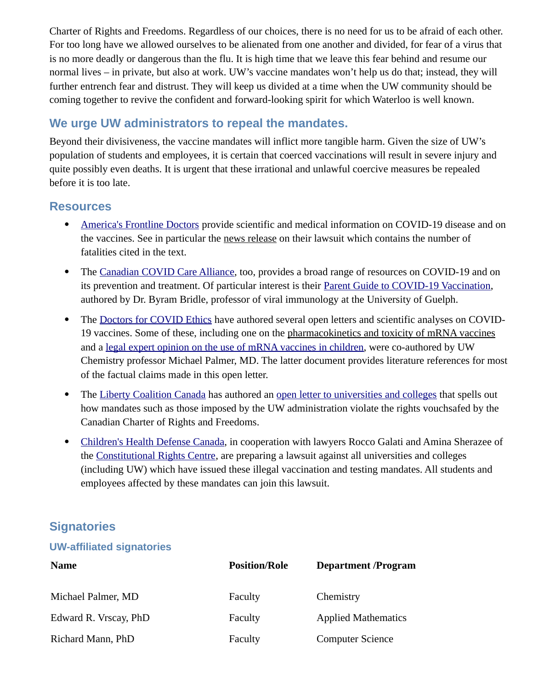Charter of Rights and Freedoms. Regardless of our choices, there is no need for us to be afraid of each other. For too long have we allowed ourselves to be alienated from one another and divided, for fear of a virus that is no more deadly or dangerous than the flu. It is high time that we leave this fear behind and resume our normal lives – in private, but also at work. UW's vaccine mandates won't help us do that; instead, they will further entrench fear and distrust. They will keep us divided at a time when the UW community should be coming together to revive the confident and forward-looking spirit for which Waterloo is well known.

# **We urge UW administrators to repeal the mandates.**

Beyond their divisiveness, the vaccine mandates will inflict more tangible harm. Given the size of UW's population of students and employees, it is certain that coerced vaccinations will result in severe injury and quite possibly even deaths. It is urgent that these irrational and unlawful coercive measures be repealed before it is too late.

#### **Resources**

- [America's Frontline Doctors](https://americasfrontlinedoctors.org/) provide scientific and medical information on COVID-19 disease and on the vaccines. See in particular the [news release](https://americasfrontlinedoctors.org/press_releases/aflds-files-lawsuit-seeking-immediate-injunctive-relief-revoking-the-emergency-use-of-covid-19-vaccines-based-on-disturbing-new-mortality-data/) on their lawsuit which contains the number of fatalities cited in the text.
- The [Canadian COVID Care Alliance](https://www.canadiancovidcarealliance.org/), too, provides a broad range of resources on COVID-19 and on its prevention and treatment. Of particular interest is their [Parent Guide to COVID-19 Vaccination,](https://www.canadiancovidcarealliance.org/media-resources/a-parent-guide-to-covid-19-vaccination/) authored by Dr. Byram Bridle, professor of viral immunology at the University of Guelph.
- The [Doctors for COVID Ethics](http://doctors4covidethics.org/) have authored several open letters and scientific analyses on COVID-19 vaccines. Some of these, including one on the [pharmacokinetics and toxicity of mRNA vaccines](https://doctors4covidethics.org/the-pfizer-mrna-vaccine-pharmacokinetics-and-toxicity/) and a [legal expert opinion on the use of mRNA vaccines in children](https://doctors4covidethics.org/expert-evidence-regarding-comirnaty-covid-19-mrna-vaccine-for-children/), were co-authored by UW Chemistry professor Michael Palmer, MD. The latter document provides literature references for most of the factual claims made in this open letter.
- The [Liberty Coalition Canada](https://www.libertycoalitioncanada.com/) has authored an [open letter to universities and colleges](https://www.libertycoalitioncanada.com/open-letter-to-universities-and-colleges) that spells out how mandates such as those imposed by the UW administration violate the rights vouchsafed by the Canadian Charter of Rights and Freedoms.
- [Children's Health Defense Canada,](https://childrenshealthdefense.ca/) in cooperation with lawyers Rocco Galati and Amina Sherazee of the [Constitutional Rights Centre,](https://www.constitutionalrightscentre.ca/) are preparing a lawsuit against all universities and colleges (including UW) which have issued these illegal vaccination and testing mandates. All students and employees affected by these mandates can join this lawsuit.

# **Signatories**

#### **UW-affiliated signatories**

| <b>Name</b>           | <b>Position/Role</b> | <b>Department/Program</b>  |
|-----------------------|----------------------|----------------------------|
| Michael Palmer, MD    | Faculty              | Chemistry                  |
| Edward R. Vrscay, PhD | Faculty              | <b>Applied Mathematics</b> |
| Richard Mann, PhD     | Faculty              | <b>Computer Science</b>    |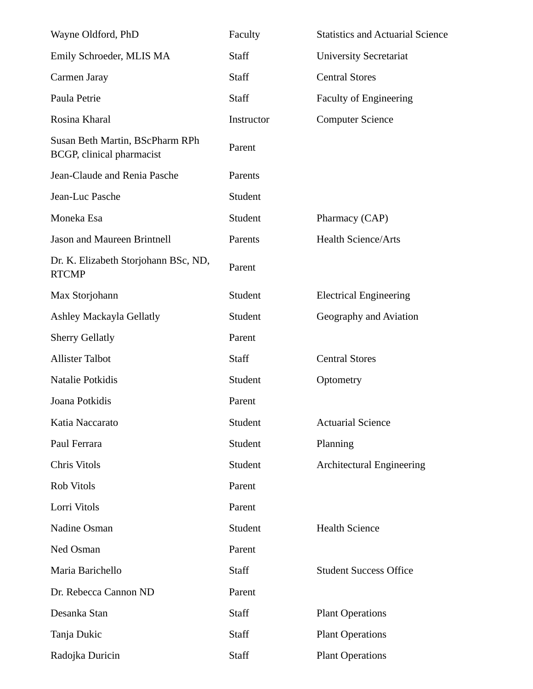| Wayne Oldford, PhD                                           | Faculty    | <b>Statistics and Actuarial Science</b> |
|--------------------------------------------------------------|------------|-----------------------------------------|
| Emily Schroeder, MLIS MA                                     | Staff      | <b>University Secretariat</b>           |
| Carmen Jaray                                                 | Staff      | <b>Central Stores</b>                   |
| Paula Petrie                                                 | Staff      | <b>Faculty of Engineering</b>           |
| Rosina Kharal                                                | Instructor | <b>Computer Science</b>                 |
| Susan Beth Martin, BScPharm RPh<br>BCGP, clinical pharmacist | Parent     |                                         |
| Jean-Claude and Renia Pasche                                 | Parents    |                                         |
| Jean-Luc Pasche                                              | Student    |                                         |
| Moneka Esa                                                   | Student    | Pharmacy (CAP)                          |
| Jason and Maureen Brintnell                                  | Parents    | <b>Health Science/Arts</b>              |
| Dr. K. Elizabeth Storjohann BSc, ND,<br><b>RTCMP</b>         | Parent     |                                         |
| Max Storjohann                                               | Student    | <b>Electrical Engineering</b>           |
| <b>Ashley Mackayla Gellatly</b>                              | Student    | Geography and Aviation                  |
| <b>Sherry Gellatly</b>                                       | Parent     |                                         |
| <b>Allister Talbot</b>                                       | Staff      | <b>Central Stores</b>                   |
| Natalie Potkidis                                             | Student    | Optometry                               |
| Joana Potkidis                                               | Parent     |                                         |
| Katia Naccarato                                              | Student    | <b>Actuarial Science</b>                |
| Paul Ferrara                                                 | Student    | Planning                                |
| Chris Vitols                                                 | Student    | <b>Architectural Engineering</b>        |
| Rob Vitols                                                   | Parent     |                                         |
| Lorri Vitols                                                 | Parent     |                                         |
| Nadine Osman                                                 | Student    | <b>Health Science</b>                   |
| Ned Osman                                                    | Parent     |                                         |
| Maria Barichello                                             | Staff      | <b>Student Success Office</b>           |
| Dr. Rebecca Cannon ND                                        | Parent     |                                         |
| Desanka Stan                                                 | Staff      | <b>Plant Operations</b>                 |
| Tanja Dukic                                                  | Staff      | <b>Plant Operations</b>                 |
| Radojka Duricin                                              | Staff      | <b>Plant Operations</b>                 |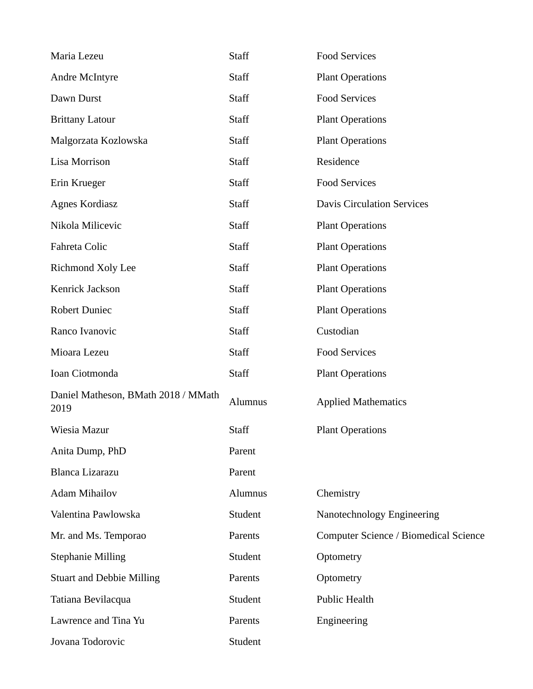| Maria Lezeu                                 | Staff   | <b>Food Services</b>                  |
|---------------------------------------------|---------|---------------------------------------|
| <b>Andre McIntyre</b>                       | Staff   | <b>Plant Operations</b>               |
| Dawn Durst                                  | Staff   | <b>Food Services</b>                  |
| <b>Brittany Latour</b>                      | Staff   | <b>Plant Operations</b>               |
| Malgorzata Kozlowska                        | Staff   | <b>Plant Operations</b>               |
| Lisa Morrison                               | Staff   | Residence                             |
| Erin Krueger                                | Staff   | <b>Food Services</b>                  |
| <b>Agnes Kordiasz</b>                       | Staff   | <b>Davis Circulation Services</b>     |
| Nikola Milicevic                            | Staff   | <b>Plant Operations</b>               |
| Fahreta Colic                               | Staff   | <b>Plant Operations</b>               |
| Richmond Xoly Lee                           | Staff   | <b>Plant Operations</b>               |
| Kenrick Jackson                             | Staff   | <b>Plant Operations</b>               |
| <b>Robert Duniec</b>                        | Staff   | <b>Plant Operations</b>               |
| Ranco Ivanovic                              | Staff   | Custodian                             |
| Mioara Lezeu                                | Staff   | <b>Food Services</b>                  |
| Ioan Ciotmonda                              | Staff   | <b>Plant Operations</b>               |
| Daniel Matheson, BMath 2018 / MMath<br>2019 | Alumnus | <b>Applied Mathematics</b>            |
| Wiesia Mazur                                | Staff   | <b>Plant Operations</b>               |
| Anita Dump, PhD                             | Parent  |                                       |
| <b>Blanca Lizarazu</b>                      | Parent  |                                       |
| <b>Adam Mihailov</b>                        | Alumnus | Chemistry                             |
| Valentina Pawlowska                         | Student | Nanotechnology Engineering            |
| Mr. and Ms. Temporao                        | Parents | Computer Science / Biomedical Science |
| <b>Stephanie Milling</b>                    | Student | Optometry                             |
| <b>Stuart and Debbie Milling</b>            | Parents | Optometry                             |
| Tatiana Bevilacqua                          | Student | Public Health                         |
| Lawrence and Tina Yu                        | Parents | Engineering                           |
| Jovana Todorovic                            | Student |                                       |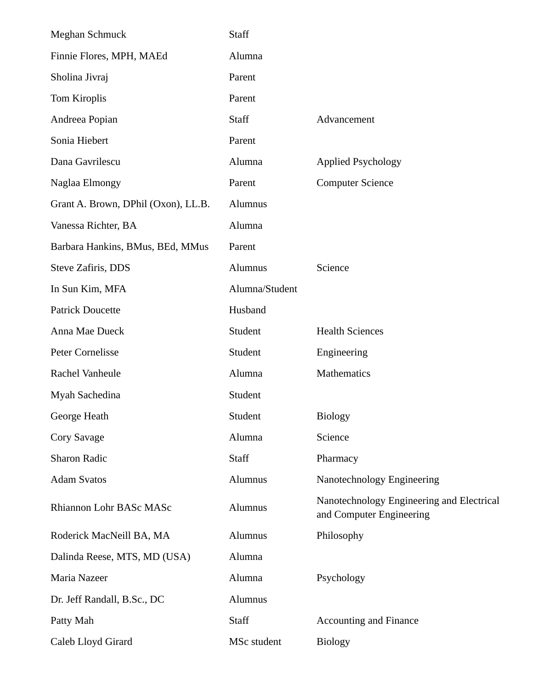| Meghan Schmuck                      | Staff          |                                                                       |
|-------------------------------------|----------------|-----------------------------------------------------------------------|
| Finnie Flores, MPH, MAEd            | Alumna         |                                                                       |
| Sholina Jivraj                      | Parent         |                                                                       |
| Tom Kiroplis                        | Parent         |                                                                       |
| Andreea Popian                      | Staff          | Advancement                                                           |
| Sonia Hiebert                       | Parent         |                                                                       |
| Dana Gavrilescu                     | Alumna         | <b>Applied Psychology</b>                                             |
| Naglaa Elmongy                      | Parent         | <b>Computer Science</b>                                               |
| Grant A. Brown, DPhil (Oxon), LL.B. | Alumnus        |                                                                       |
| Vanessa Richter, BA                 | Alumna         |                                                                       |
| Barbara Hankins, BMus, BEd, MMus    | Parent         |                                                                       |
| Steve Zafiris, DDS                  | Alumnus        | Science                                                               |
| In Sun Kim, MFA                     | Alumna/Student |                                                                       |
| <b>Patrick Doucette</b>             | Husband        |                                                                       |
| Anna Mae Dueck                      | Student        | <b>Health Sciences</b>                                                |
| Peter Cornelisse                    | Student        | Engineering                                                           |
| Rachel Vanheule                     | Alumna         | Mathematics                                                           |
| Myah Sachedina                      | Student        |                                                                       |
| George Heath                        | Student        | <b>Biology</b>                                                        |
| Cory Savage                         | Alumna         | Science                                                               |
| <b>Sharon Radic</b>                 | Staff          | Pharmacy                                                              |
| <b>Adam Svatos</b>                  | Alumnus        | Nanotechnology Engineering                                            |
| Rhiannon Lohr BASc MASc             | Alumnus        | Nanotechnology Engineering and Electrical<br>and Computer Engineering |
| Roderick MacNeill BA, MA            | Alumnus        | Philosophy                                                            |
| Dalinda Reese, MTS, MD (USA)        | Alumna         |                                                                       |
| Maria Nazeer                        | Alumna         | Psychology                                                            |
| Dr. Jeff Randall, B.Sc., DC         | Alumnus        |                                                                       |
| Patty Mah                           | Staff          | <b>Accounting and Finance</b>                                         |
| Caleb Lloyd Girard                  | MSc student    | <b>Biology</b>                                                        |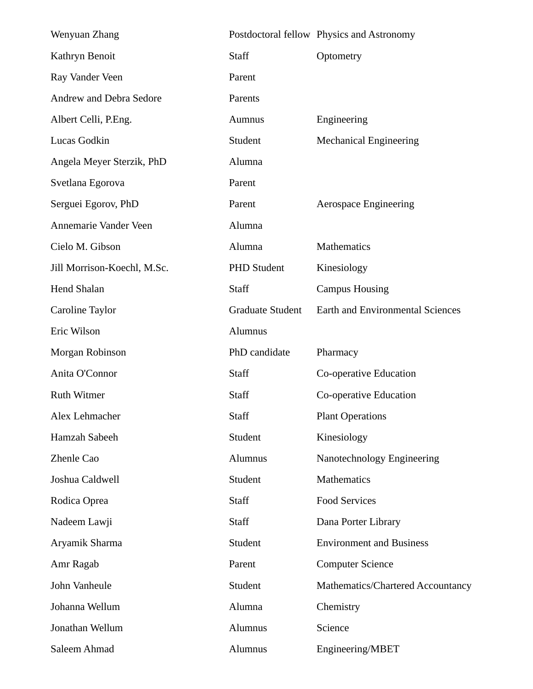| Wenyuan Zhang                  |                         | Postdoctoral fellow Physics and Astronomy |
|--------------------------------|-------------------------|-------------------------------------------|
| Kathryn Benoit                 | Staff                   | Optometry                                 |
| Ray Vander Veen                | Parent                  |                                           |
| <b>Andrew and Debra Sedore</b> | Parents                 |                                           |
| Albert Celli, P.Eng.           | Aumnus                  | Engineering                               |
| Lucas Godkin                   | Student                 | <b>Mechanical Engineering</b>             |
| Angela Meyer Sterzik, PhD      | Alumna                  |                                           |
| Svetlana Egorova               | Parent                  |                                           |
| Serguei Egorov, PhD            | Parent                  | <b>Aerospace Engineering</b>              |
| Annemarie Vander Veen          | Alumna                  |                                           |
| Cielo M. Gibson                | Alumna                  | Mathematics                               |
| Jill Morrison-Koechl, M.Sc.    | <b>PHD Student</b>      | Kinesiology                               |
| <b>Hend Shalan</b>             | Staff                   | <b>Campus Housing</b>                     |
| Caroline Taylor                | <b>Graduate Student</b> | <b>Earth and Environmental Sciences</b>   |
| Eric Wilson                    | Alumnus                 |                                           |
| Morgan Robinson                | PhD candidate           | Pharmacy                                  |
| Anita O'Connor                 | Staff                   | Co-operative Education                    |
| Ruth Witmer                    | Staff                   | Co-operative Education                    |
| Alex Lehmacher                 | Staff                   | <b>Plant Operations</b>                   |
| Hamzah Sabeeh                  | Student                 | Kinesiology                               |
| <b>Zhenle Cao</b>              | Alumnus                 | Nanotechnology Engineering                |
| Joshua Caldwell                | Student                 | Mathematics                               |
| Rodica Oprea                   | Staff                   | <b>Food Services</b>                      |
| Nadeem Lawji                   | Staff                   | Dana Porter Library                       |
| Aryamik Sharma                 | Student                 | <b>Environment and Business</b>           |
| Amr Ragab                      | Parent                  | <b>Computer Science</b>                   |
| John Vanheule                  | Student                 | Mathematics/Chartered Accountancy         |
| Johanna Wellum                 | Alumna                  | Chemistry                                 |
| Jonathan Wellum                | Alumnus                 | Science                                   |
| Saleem Ahmad                   | Alumnus                 | Engineering/MBET                          |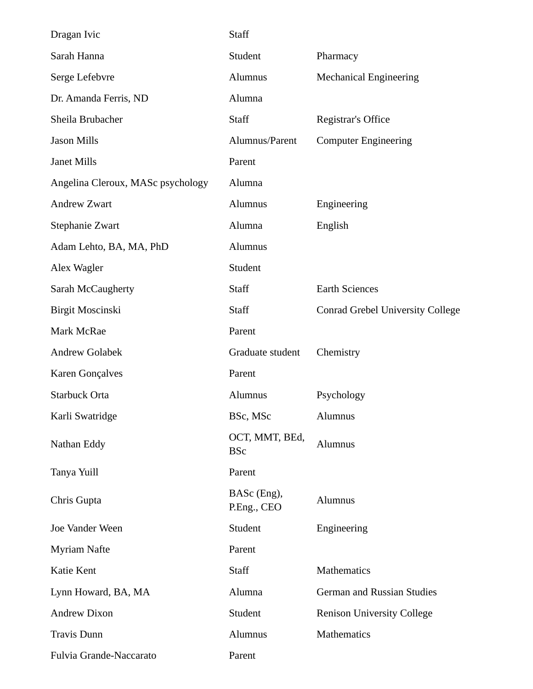| Dragan Ivic                       | Staff                        |                                         |
|-----------------------------------|------------------------------|-----------------------------------------|
| Sarah Hanna                       | Student                      | Pharmacy                                |
| Serge Lefebvre                    | Alumnus                      | <b>Mechanical Engineering</b>           |
| Dr. Amanda Ferris, ND             | Alumna                       |                                         |
| Sheila Brubacher                  | <b>Staff</b>                 | Registrar's Office                      |
| <b>Jason Mills</b>                | Alumnus/Parent               | <b>Computer Engineering</b>             |
| Janet Mills                       | Parent                       |                                         |
| Angelina Cleroux, MASc psychology | Alumna                       |                                         |
| <b>Andrew Zwart</b>               | Alumnus                      | Engineering                             |
| Stephanie Zwart                   | Alumna                       | English                                 |
| Adam Lehto, BA, MA, PhD           | Alumnus                      |                                         |
| Alex Wagler                       | Student                      |                                         |
| Sarah McCaugherty                 | <b>Staff</b>                 | <b>Earth Sciences</b>                   |
| <b>Birgit Moscinski</b>           | Staff                        | <b>Conrad Grebel University College</b> |
| Mark McRae                        | Parent                       |                                         |
| <b>Andrew Golabek</b>             | Graduate student             | Chemistry                               |
| Karen Gonçalves                   | Parent                       |                                         |
| Starbuck Orta                     | Alumnus                      | Psychology                              |
| Karli Swatridge                   | BSc, MSc                     | Alumnus                                 |
| Nathan Eddy                       | OCT, MMT, BEd,<br><b>BSc</b> | Alumnus                                 |
| Tanya Yuill                       | Parent                       |                                         |
| Chris Gupta                       | BASc (Eng),<br>P.Eng., CEO   | Alumnus                                 |
| Joe Vander Ween                   | Student                      | Engineering                             |
| <b>Myriam Nafte</b>               | Parent                       |                                         |
| Katie Kent                        | Staff                        | Mathematics                             |
| Lynn Howard, BA, MA               | Alumna                       | German and Russian Studies              |
| <b>Andrew Dixon</b>               | Student                      | <b>Renison University College</b>       |
| <b>Travis Dunn</b>                | Alumnus                      | Mathematics                             |
| Fulvia Grande-Naccarato           | Parent                       |                                         |